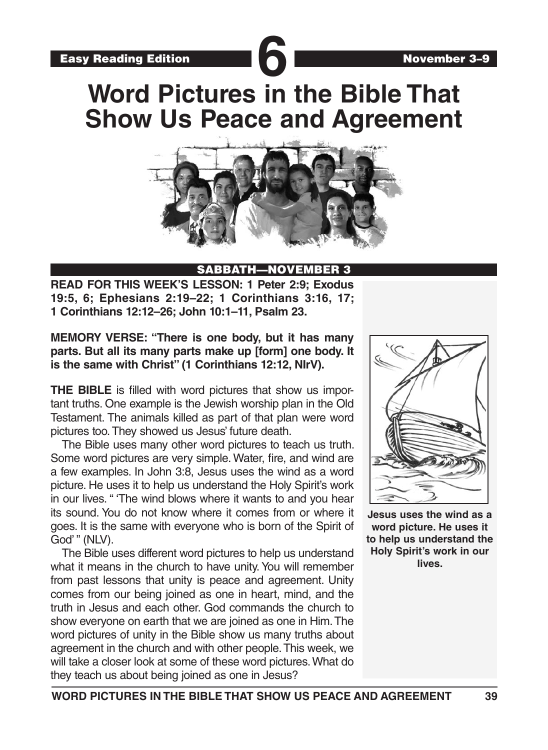**Word Pictures in the Bible That Show Us Peace and Agreement**



#### SABBATH—NOVEMBER 3

**READ FOR THIS WEEK'S LESSON: 1 Peter 2:9; Exodus 19:5, 6; Ephesians 2:19–22; 1 Corinthians 3:16, 17; 1 Corinthians 12:12–26; John 10:1–11, Psalm 23.**

**MEMORY VERSE: "There is one body, but it has many parts. But all its many parts make up [form] one body. It is the same with Christ" (1 Corinthians 12:12, NIrV).**

**THE BIBLE** is filled with word pictures that show us important truths. One example is the Jewish worship plan in the Old Testament. The animals killed as part of that plan were word pictures too. They showed us Jesus' future death.

The Bible uses many other word pictures to teach us truth. Some word pictures are very simple. Water, fire, and wind are a few examples. In John 3:8, Jesus uses the wind as a word picture. He uses it to help us understand the Holy Spirit's work in our lives. " 'The wind blows where it wants to and you hear its sound. You do not know where it comes from or where it goes. It is the same with everyone who is born of the Spirit of God' " (NLV).

The Bible uses different word pictures to help us understand what it means in the church to have unity. You will remember from past lessons that unity is peace and agreement. Unity comes from our being joined as one in heart, mind, and the truth in Jesus and each other. God commands the church to show everyone on earth that we are joined as one in Him. The word pictures of unity in the Bible show us many truths about agreement in the church and with other people. This week, we will take a closer look at some of these word pictures. What do they teach us about being joined as one in Jesus?



**Jesus uses the wind as a word picture. He uses it to help us understand the Holy Spirit's work in our lives.**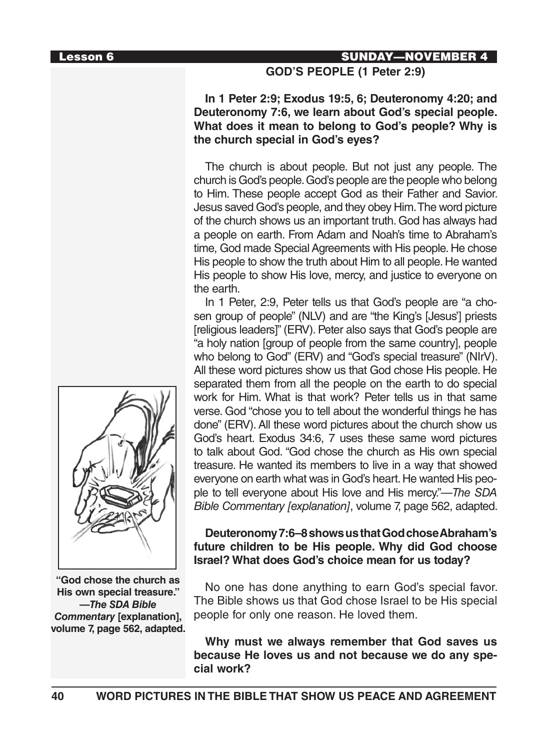### Lesson 6 **SUNDAY—NOVEMBER 4**

#### **GOD'S PEOPLE (1 Peter 2:9)**

**In 1 Peter 2:9; Exodus 19:5, 6; Deuteronomy 4:20; and Deuteronomy 7:6, we learn about God's special people. What does it mean to belong to God's people? Why is the church special in God's eyes?**

The church is about people. But not just any people. The church is God's people. God's people are the people who belong to Him. These people accept God as their Father and Savior. Jesus saved God's people, and they obey Him. The word picture of the church shows us an important truth. God has always had a people on earth. From Adam and Noah's time to Abraham's time, God made Special Agreements with His people. He chose His people to show the truth about Him to all people. He wanted His people to show His love, mercy, and justice to everyone on the earth.

In 1 Peter, 2:9, Peter tells us that God's people are "a chosen group of people" (NLV) and are "the King's [Jesus'] priests [religious leaders]" (ERV). Peter also says that God's people are "a holy nation [group of people from the same country], people who belong to God" (ERV) and "God's special treasure" (NIrV). All these word pictures show us that God chose His people. He separated them from all the people on the earth to do special work for Him. What is that work? Peter tells us in that same verse. God "chose you to tell about the wonderful things he has done" (ERV). All these word pictures about the church show us God's heart. Exodus 34:6, 7 uses these same word pictures to talk about God. "God chose the church as His own special treasure. He wanted its members to live in a way that showed everyone on earth what was in God's heart. He wanted His people to tell everyone about His love and His mercy."—*The SDA Bible Commentary [explanation]*, volume 7, page 562, adapted.

### **Deuteronomy 7:6–8 shows us that God chose Abraham's future children to be His people. Why did God choose Israel? What does God's choice mean for us today?**

No one has done anything to earn God's special favor. The Bible shows us that God chose Israel to be His special people for only one reason. He loved them.

**Why must we always remember that God saves us because He loves us and not because we do any special work?**



**"God chose the church as His own special treasure." —***The SDA Bible Commentary* **[explanation], volume 7, page 562, adapted.**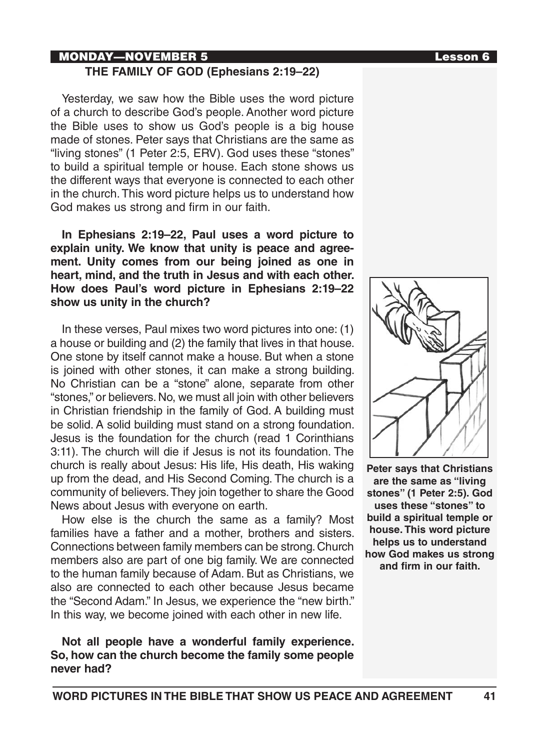# MONDAY—NOVEMBER 5 Lesson 6

#### **THE FAMILY OF GOD (Ephesians 2:19–22)**

Yesterday, we saw how the Bible uses the word picture of a church to describe God's people. Another word picture the Bible uses to show us God's people is a big house made of stones. Peter says that Christians are the same as "living stones" (1 Peter 2:5, ERV). God uses these "stones" to build a spiritual temple or house. Each stone shows us the different ways that everyone is connected to each other in the church. This word picture helps us to understand how God makes us strong and firm in our faith.

**In Ephesians 2:19–22, Paul uses a word picture to explain unity. We know that unity is peace and agreement. Unity comes from our being joined as one in heart, mind, and the truth in Jesus and with each other. How does Paul's word picture in Ephesians 2:19–22 show us unity in the church?**

In these verses, Paul mixes two word pictures into one: (1) a house or building and (2) the family that lives in that house. One stone by itself cannot make a house. But when a stone is joined with other stones, it can make a strong building. No Christian can be a "stone" alone, separate from other "stones," or believers. No, we must all join with other believers in Christian friendship in the family of God. A building must be solid. A solid building must stand on a strong foundation. Jesus is the foundation for the church (read 1 Corinthians 3:11). The church will die if Jesus is not its foundation. The church is really about Jesus: His life, His death, His waking up from the dead, and His Second Coming. The church is a community of believers. They join together to share the Good News about Jesus with everyone on earth.

How else is the church the same as a family? Most families have a father and a mother, brothers and sisters. Connections between family members can be strong. Church members also are part of one big family. We are connected to the human family because of Adam. But as Christians, we also are connected to each other because Jesus became the "Second Adam." In Jesus, we experience the "new birth." In this way, we become joined with each other in new life.

### **Not all people have a wonderful family experience. So, how can the church become the family some people never had?**



**Peter says that Christians are the same as "living stones" (1 Peter 2:5). God uses these "stones" to build a spiritual temple or house. This word picture helps us to understand how God makes us strong and firm in our faith.**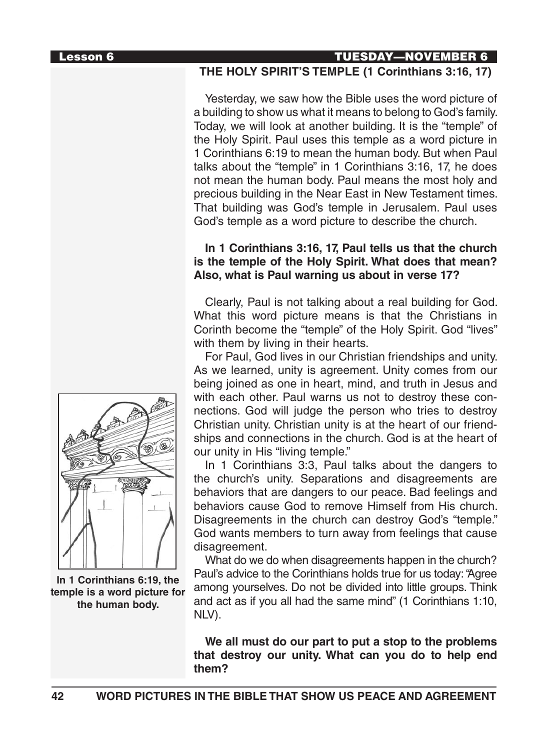#### Lesson 6 TUESDAY—NOVEMBER 6

#### **THE HOLY SPIRIT'S TEMPLE (1 Corinthians 3:16, 17)**

Yesterday, we saw how the Bible uses the word picture of a building to show us what it means to belong to God's family. Today, we will look at another building. It is the "temple" of the Holy Spirit. Paul uses this temple as a word picture in 1 Corinthians 6:19 to mean the human body. But when Paul talks about the "temple" in 1 Corinthians 3:16, 17, he does not mean the human body. Paul means the most holy and precious building in the Near East in New Testament times. That building was God's temple in Jerusalem. Paul uses God's temple as a word picture to describe the church.

### **In 1 Corinthians 3:16, 17, Paul tells us that the church is the temple of the Holy Spirit. What does that mean? Also, what is Paul warning us about in verse 17?**

Clearly, Paul is not talking about a real building for God. What this word picture means is that the Christians in Corinth become the "temple" of the Holy Spirit. God "lives" with them by living in their hearts.

For Paul, God lives in our Christian friendships and unity. As we learned, unity is agreement. Unity comes from our being joined as one in heart, mind, and truth in Jesus and with each other. Paul warns us not to destroy these connections. God will judge the person who tries to destroy Christian unity. Christian unity is at the heart of our friendships and connections in the church. God is at the heart of our unity in His "living temple."

In 1 Corinthians 3:3, Paul talks about the dangers to the church's unity. Separations and disagreements are behaviors that are dangers to our peace. Bad feelings and behaviors cause God to remove Himself from His church. Disagreements in the church can destroy God's "temple." God wants members to turn away from feelings that cause disagreement.

What do we do when disagreements happen in the church? Paul's advice to the Corinthians holds true for us today: "Agree among yourselves. Do not be divided into little groups. Think and act as if you all had the same mind" (1 Corinthians 1:10, NLV).

**We all must do our part to put a stop to the problems that destroy our unity. What can you do to help end them?**



**In 1 Corinthians 6:19, the temple is a word picture for the human body.**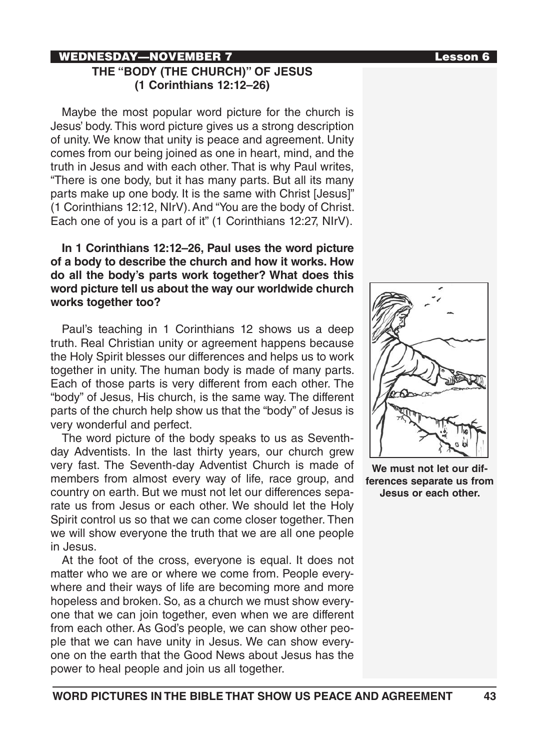#### WEDNESDAY—NOVEMBER 7 Lesson 6 **THE "BODY (THE CHURCH)" OF JESUS (1 Corinthians 12:12–26)**

Maybe the most popular word picture for the church is Jesus' body. This word picture gives us a strong description of unity. We know that unity is peace and agreement. Unity comes from our being joined as one in heart, mind, and the truth in Jesus and with each other. That is why Paul writes, "There is one body, but it has many parts. But all its many parts make up one body. It is the same with Christ [Jesus]" (1 Corinthians 12:12, NIrV). And "You are the body of Christ. Each one of you is a part of it" (1 Corinthians 12:27, NIrV).

## **In 1 Corinthians 12:12–26, Paul uses the word picture of a body to describe the church and how it works. How do all the body's parts work together? What does this word picture tell us about the way our worldwide church works together too?**

Paul's teaching in 1 Corinthians 12 shows us a deep truth. Real Christian unity or agreement happens because the Holy Spirit blesses our differences and helps us to work together in unity. The human body is made of many parts. Each of those parts is very different from each other. The "body" of Jesus, His church, is the same way. The different parts of the church help show us that the "body" of Jesus is very wonderful and perfect.

The word picture of the body speaks to us as Seventhday Adventists. In the last thirty years, our church grew very fast. The Seventh-day Adventist Church is made of members from almost every way of life, race group, and country on earth. But we must not let our differences separate us from Jesus or each other. We should let the Holy Spirit control us so that we can come closer together. Then we will show everyone the truth that we are all one people in Jesus.

At the foot of the cross, everyone is equal. It does not matter who we are or where we come from. People everywhere and their ways of life are becoming more and more hopeless and broken. So, as a church we must show everyone that we can join together, even when we are different from each other. As God's people, we can show other people that we can have unity in Jesus. We can show everyone on the earth that the Good News about Jesus has the power to heal people and join us all together.





**We must not let our differences separate us from Jesus or each other.**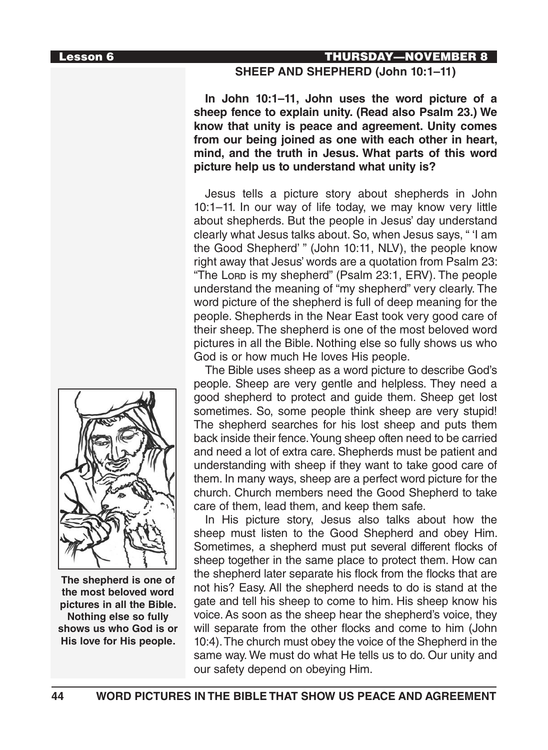#### Lesson 6 THURSDAY—NOVEMBER 8

#### **SHEEP AND SHEPHERD (John 10:1–11)**

**In John 10:1–11, John uses the word picture of a sheep fence to explain unity. (Read also Psalm 23.) We know that unity is peace and agreement. Unity comes from our being joined as one with each other in heart, mind, and the truth in Jesus. What parts of this word picture help us to understand what unity is?** 

Jesus tells a picture story about shepherds in John 10:1–11. In our way of life today, we may know very little about shepherds. But the people in Jesus' day understand clearly what Jesus talks about. So, when Jesus says, " 'I am the Good Shepherd' " (John 10:11, NLV), the people know right away that Jesus' words are a quotation from Psalm 23: "The Lore is my shepherd" (Psalm 23:1, ERV). The people understand the meaning of "my shepherd" very clearly. The word picture of the shepherd is full of deep meaning for the people. Shepherds in the Near East took very good care of their sheep. The shepherd is one of the most beloved word pictures in all the Bible. Nothing else so fully shows us who God is or how much He loves His people.

The Bible uses sheep as a word picture to describe God's people. Sheep are very gentle and helpless. They need a good shepherd to protect and guide them. Sheep get lost sometimes. So, some people think sheep are very stupid! The shepherd searches for his lost sheep and puts them back inside their fence. Young sheep often need to be carried and need a lot of extra care. Shepherds must be patient and understanding with sheep if they want to take good care of them. In many ways, sheep are a perfect word picture for the church. Church members need the Good Shepherd to take care of them, lead them, and keep them safe.

In His picture story, Jesus also talks about how the sheep must listen to the Good Shepherd and obey Him. Sometimes, a shepherd must put several different flocks of sheep together in the same place to protect them. How can the shepherd later separate his flock from the flocks that are not his? Easy. All the shepherd needs to do is stand at the gate and tell his sheep to come to him. His sheep know his voice. As soon as the sheep hear the shepherd's voice, they will separate from the other flocks and come to him (John 10:4). The church must obey the voice of the Shepherd in the same way. We must do what He tells us to do. Our unity and our safety depend on obeying Him.



**The shepherd is one of the most beloved word pictures in all the Bible. Nothing else so fully shows us who God is or His love for His people.**